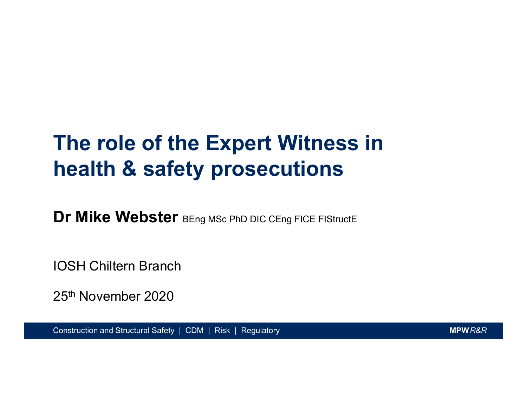### The role of the Expert Witness in health & safety prosecutions

Dr Mike Webster BEng MSc PhD DIC CEng FICE FIStructE

IOSH Chiltern Branch

25th November 2020

Construction and Structural Safety | CDM | Risk | Regulatory MONTEN MARKER MERITAL CONSTRUCTION MARKER MARKER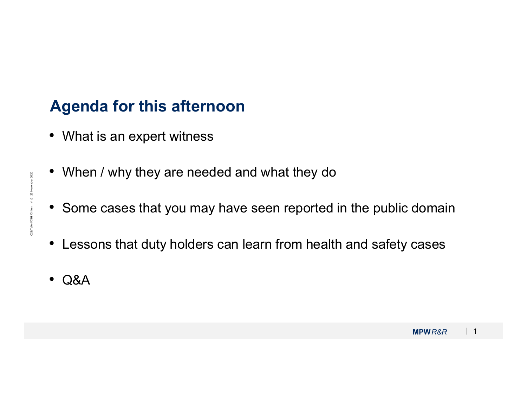### Agenda for this afternoon

- What is an expert witness
- When / why they are needed and what they do
- Some cases that you may have seen reported in the public domain
- Some cases that you may have seen reported in the public domain<br>• Lessons that duty holders can learn from health and safety cases<br>• Q&A • Lessons that duty holders can learn from health and safety cases
	- Q&A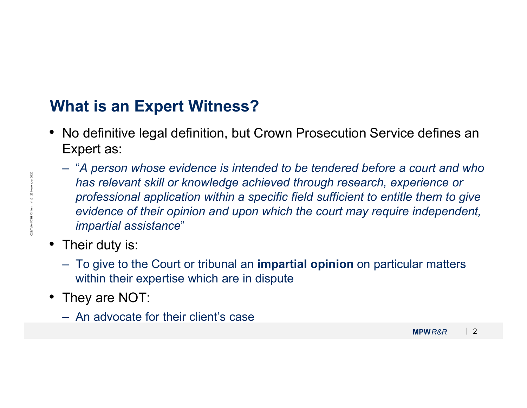### What is an Expert Witness?

- No definitive legal definition, but Crown Prosecution Service defines an Expert as:
- Mas relevant skill or knowledge achieved through research, experience or<br>professional application within a specific field sufficient to entitle them to give<br>evidence of their opinion and upon which the court may require i Final Same Expert Witness?<br>
No definitive legal definition, but Crown Prosecution Service defines an<br>
Expert as:<br>
- "A person whose evidence is intended to be tendered before a court and who<br>
has relevant skill or knowledg has relevant skill or knowledge achieved through research, experience or professional application within a specific field sufficient to entitle them to give evidence of their opinion and upon which the court may require independent, impartial assistance" Fraction Same Expert Witness?<br>
No definitive legal definition, but Crown Prosecution Service defines an<br>
Expert as:<br>
- "A person whose evidence is intended to be tendered before a court and who<br>
has relevant skill or knowl Expert as:<br>
- "A person whose evidence is intended to<br>
has relevant skill or knowledge achieved<br>
professional application within a specific t<br>
evidence of their opinion and upon which<br>
impartial assistance"<br>
Their duty is:
	- Their duty is:
		- within their expertise which are in dispute
	- They are NOT:
		-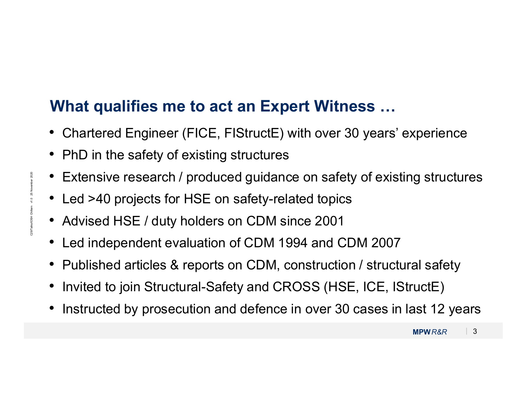### What qualifies me to act an Expert Witness …

- Chartered Engineer (FICE, FIStructE) with over 30 years' experience
- PhD in the safety of existing structures
- Extensive research / produced guidance on safety of existing structures
- Led >40 projects for HSE on safety-related topics
- Advised HSE / duty holders on CDM since 2001
- Led independent evaluation of CDM 1994 and CDM 2007
- Published articles & reports on CDM, construction / structural safety
- Invited to join Structural-Safety and CROSS (HSE, ICE, IStructE)
- Extensive research / produced guidance on safety of existing structures<br>• Led >40 projects for HSE on safety-related topics<br>• Advised HSE / duty holders on CDM since 2001<br>• Led independent evaluation of CDM 1994 and CDM • Instructed by prosecution and defence in over 30 cases in last 12 years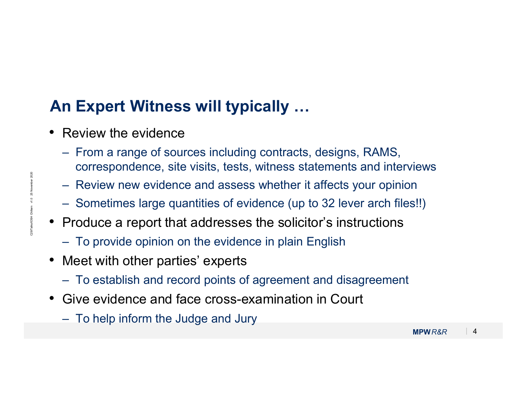### An Expert Witness will typically …

- Review the evidence
- **n Expert Witness will typically …**<br>Review the evidence<br>– From a range of sources including contracts, designs, RAMS,<br>correspondence, site visits, tests, witness statements and interviews<br>– Review new evidence and assess w correspondence, site visits, tests, witness statements and interviews **Expert Witness will typically ...**<br>
Review the evidence<br>
– From a range of sources including contracts, designs, RAMS,<br>
correspondence, site visits, tests, witness statements and interviews<br>
– Review new evidence and asse **n Expert Witness will typically ...**<br>
Review the evidence<br>
– From a range of sources including contracts, designs, RAMS,<br>
correspondence, site visits, tests, witness statements and interviews<br>
– Review new evidence and as **n Expert Witness will typically ...**<br>
Review the evidence<br>
– From a range of sources including contracts, designs, RAMS,<br>
correspondence, site visits, tests, witness statements and interviews<br>
– Review new evidence and as Here Contribute and revious Controlling Contracts, designs, RAMS,<br>
Correspondence, site visits, tests, witness statements and interviews<br>
- Review new evidence and assess whether it affects your opinion<br>
- Sometimes large – From a range of sources including contra<br>correspondence, site visits, tests, witness<br>– Review new evidence and assess whethe<br>– Sometimes large quantities of evidence (i<br>Produce a report that addresses the sol<br>– To provid
	-
	-
- Review new evidence and assess whether it affects your opinion<br>
 Sometimes large quantities of evidence (up to 32 lever arch files!!)<br>
 Produce a report that addresses the solicitor's instructions<br>
 To provide opinio • Produce a report that addresses the solicitor's instructions
	-
	- Meet with other parties' experts
		-
	- Give evidence and face cross-examination in Court
		-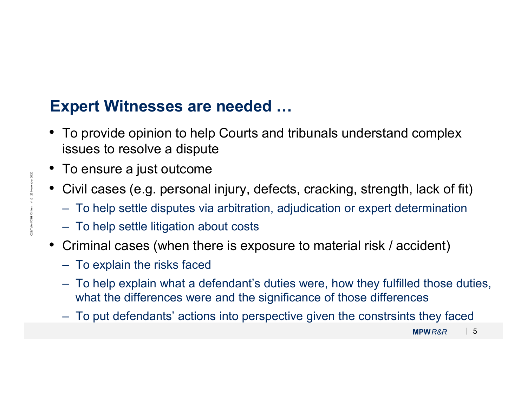### Expert Witnesses are needed …

- To provide opinion to help Courts and tribunals understand complex issues to resolve a dispute Framedian Controllary (Controllary and the provide opinion to help Courts and tribunals understand complex<br>Frames to resolve a dispute<br>To ensure a just outcome<br>Civil cases (e.g. personal injury, defects, cracking, strength **xpert Witnesses are needed ...**<br>To provide opinion to help Courts and tribunals und<br>issues to resolve a dispute<br>To ensure a just outcome<br>Civil cases (e.g. personal injury, defects, cracking, :<br>- To help settle disputes vi **xpert Witnesses are needed ...**<br>To provide opinion to help Courts and tribuna<br>issues to resolve a dispute<br>To ensure a just outcome<br>Civil cases (e.g. personal injury, defects, crac<br>– To help settle disputes via arbitration To provide opinion to help Courts and tribunals understand complex<br>
issues to resolve a dispute<br>
To ensure a just outcome<br>
Civil cases (e.g. personal injury, defects, cracking, strength, lack of fit)<br>
– To help settle disp
- To ensure a just outcome
- Civil cases (e.g. personal injury, defects, cracking, strength, lack of fit)
	-
	-
- Criminal cases (when there is exposure to material risk / accident)
	-
- Civil cases (e.g. personal injury, defects, cracking, strength, lack of fit)<br>
 To help settle disputes via arbitration, adjudication or expert determination<br>
 To help settle litigation about costs<br>
 Criminal cases (wh what the differences were and the significance of those differences issues to resolve a dispute<br>
To ensure a just outcome<br>
Civil cases (e.g. personal injury, defects, cracking, strength, lack of fit)<br>
- To help settle disputes via arbitration, adjudication or expert determination<br>
- To he
	-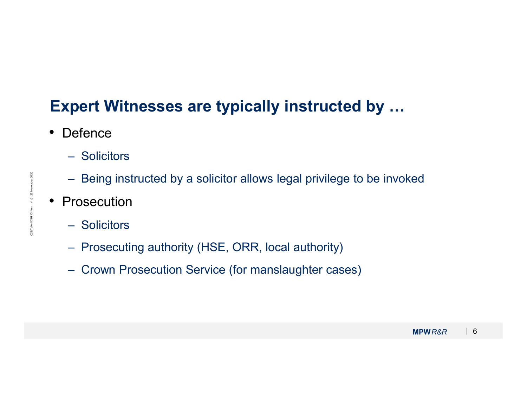### Expert Witnesses are typically instructed by … – Solicitors Find the Session of the session of the solicitors<br>Find the Solicitors<br>- Being instructed by a solicitor allows legal privilege to be invoked<br>Prosecution<br>- Solicitors **pert Witnesses are typically in<br>
Defence**<br>
— Solicitors<br>
— Being instructed by a solicitor allows lega<br>
Prosecution<br>
— Solicitors<br>
— Prosecuting authority (HSE, ORR, local a<br>
— Crown Prosecution Service (for manslaud read Witnesses are typically instructed by ...<br>
Defence<br>
— Solicitors<br>
— Being instructed by a solicitor allows legal privilege to be invok<br>
Prosecution<br>
— Solicitors<br>
— Prosecuting authority (HSE, ORR, local authority)<br>
 relact Witnesses are typically instructed<br>
Defence<br>
— Solicitors<br>
— Being instructed by a solicitor allows legal privilege to<br>
Prosecution<br>
— Solicitors<br>
— Prosecuting authority (HSE, ORR, local authority)<br>
— Crown Prosecu

- Defence
	-
- Being instructed by a solicitor allows legal privilege to be invoked<br>
 Prosecution<br>
 Solicitors<br>
 Prosecuting authority (HSE, ORR, local authority)<br>
 Crown Prosecution Service (for manslaughter cases)<br>
MPWR&R | 6
	- Prosecution
		-
		-
		-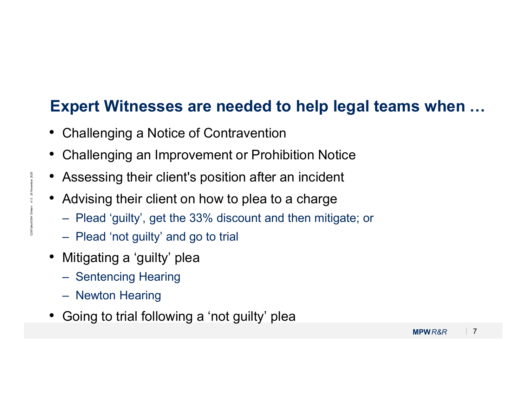## Expert Witnesses are needed to help legal teams when … **xpert Witnesses are needed to help legal teams wh**<br>Challenging a Notice of Contravention<br>Challenging an Improvement or Prohibition Notice<br>Assessing their client's position after an incident<br>Advising their client on how to **xpert Witnesses are needed to**<br>Challenging a Notice of Contravention<br>Challenging an Improvement or Prohibi<br>Assessing their client's position after an<br>Advising their client on how to plea to a<br>– Plead 'guilty', get the 33%

- Challenging a Notice of Contravention
- Challenging an Improvement or Prohibition Notice
- Assessing their client's position after an incident **xpert vvitnesses are needed to**<br>Challenging a Notice of Contravention<br>Challenging an Improvement or Prohibit<br>Assessing their client's position after an<br>Advising their client on how to plea to a<br>– Plead 'not guilty' and go Challenging a Notice of Contravention<br>Challenging an Improvement or Prohibi<br>Assessing their client's position after an<br>Advising their client on how to plea to a<br>– Plead 'guilty', get the 33% discount and th<br>– Plead 'not gu
- Advising their client on how to plea to a charge
- Assessing their client's position after an incident<br>
 Advising their client on how to plea to a charge<br>
 Plead 'guilty', get the 33% discount and then mitigate; or<br>
 Plead 'not guilty' and go to trial<br>
 Mitigating a
	-
	- Mitigating a 'guilty' plea
		-
		-
	- Going to trial following a 'not guilty' plea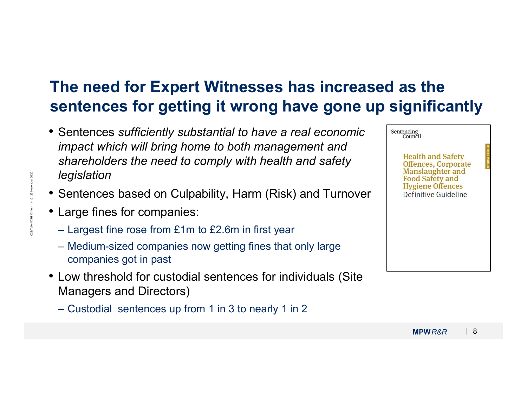### The need for Expert Witnesses has increased as the sentences for getting it wrong have gone up significantly

- Sentences sufficiently substantial to have a real economic impact which will bring home to both management and shareholders the need to comply with health and safety legislation The need for Expert Witnesses has increadent<br>
entences for getting it wrong have gone<br>
Sentences sufficiently substantial to have a real economic<br>
impact which will bring home to both management and<br>
shareholders the need The need for Expert Witnesses has increased a<br>
entences for getting it wrong have gone up si<br>
Sentences sufficiently substantial to have a real economic<br>
impact which will bring home to both management and<br>
shareholders th impact which will bring home to both managem<br>shareholders the need to comply with health an<br>legislation<br>Sentences based on Culpability, Harm (Risk) a<br>Large fines for companies:<br>- Largest fine rose from £1m to £2.6m in firs
- Sentences based on Culpability, Harm (Risk) and Turnover
- Large fines for companies:
	-
	- companies got in past
- Low threshold for custodial sentences for individuals (Site Managers and Directors)
	-

| • Sentences sufficiently substantial to have a real economic<br>impact which will bring home to both management and<br>shareholders the need to comply with health and safety<br>legislation<br>• Sentences based on Culpability, Harm (Risk) and Turnover<br>• Large fines for companies:<br>- Largest fine rose from $£1m$ to $£2.6m$ in first year<br>- Medium-sized companies now getting fines that only large<br>companies got in past | Sentencing<br>Council<br><b>Health and Safety</b><br><b>Offences, Corporate</b><br><b>Manslaughter and</b><br><b>Food Safety and</b><br><b>Hygiene Offences</b><br>Definitive Guideline |  |
|----------------------------------------------------------------------------------------------------------------------------------------------------------------------------------------------------------------------------------------------------------------------------------------------------------------------------------------------------------------------------------------------------------------------------------------------|-----------------------------------------------------------------------------------------------------------------------------------------------------------------------------------------|--|
| • Low threshold for custodial sentences for individuals (Site<br><b>Managers and Directors)</b>                                                                                                                                                                                                                                                                                                                                              |                                                                                                                                                                                         |  |
| - Custodial sentences up from 1 in 3 to nearly 1 in 2                                                                                                                                                                                                                                                                                                                                                                                        |                                                                                                                                                                                         |  |
|                                                                                                                                                                                                                                                                                                                                                                                                                                              | 8<br><b>MPWR&amp;R</b>                                                                                                                                                                  |  |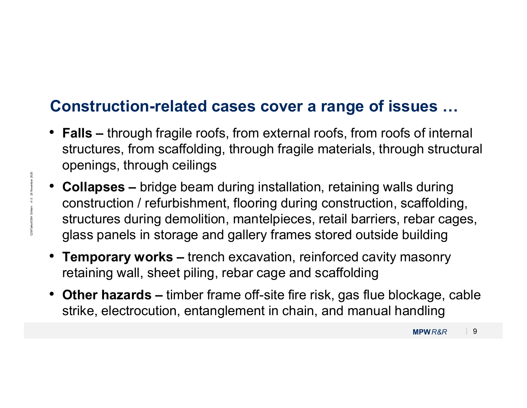#### Construction-related cases cover a range of issues …

- Falls through fragile roofs, from external roofs, from roofs of internal structures, from scaffolding, through fragile materials, through structural openings, through ceilings
- Collapses bridge beam during installation, retaining walls during<br>construction / refurbishment, flooring during construction, scaffolding,<br>structures during demolition, mantelpieces, retail barriers, rebar cages,<br>glass • Collapses – bridge beam during installation, retaining walls during construction / refurbishment, flooring during construction, scaffolding, structures during demolition, mantelpieces, retail barriers, rebar cages, glass panels in storage and gallery frames stored outside building
	- Temporary works trench excavation, reinforced cavity masonry retaining wall, sheet piling, rebar cage and scaffolding
	- Other hazards timber frame off-site fire risk, gas flue blockage, cable strike, electrocution, entanglement in chain, and manual handling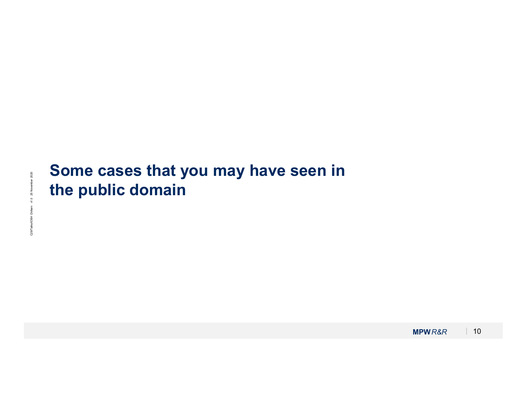# Some cases that you may have seen in<br>the public domain<br>states that you may have seen in the public domain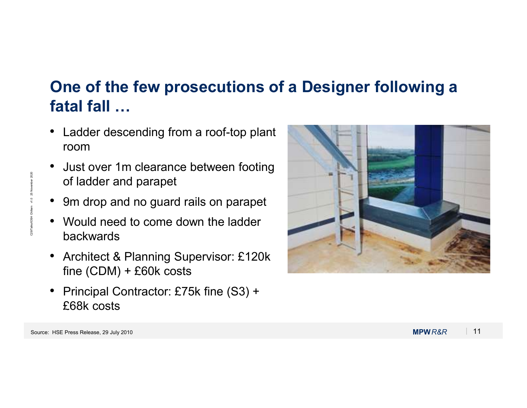## One of the few prosecutions of a Designer following a fatal fall … One of the few prosecutions of a Desparated rails on<br>
• Ladder descending from a roof-top plant<br>
• Just over 1m clearance between footing<br>
• Just over 1m clearance between footing<br>
• 9m drop and no guard rails on parapet<br>

- Ladder descending from a roof-top plant room
- Just over 1m clearance between footing of ladder and parapet
- 
- Would need to come down the ladder backwards
- Architect & Planning Supervisor: £120k fine (CDM) + £60k costs
- Principal Contractor: £75k fine (S3) + £68k costs

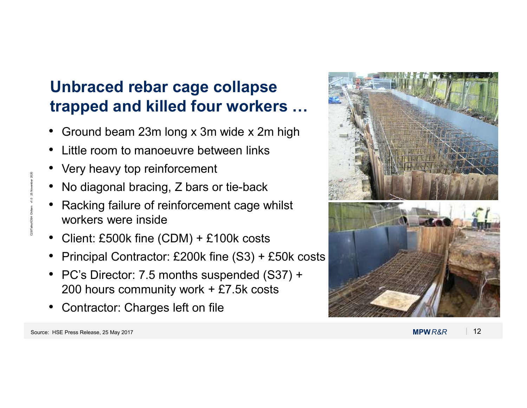### Unbraced rebar cage collapse trapped and killed four workers …

- Ground beam 23m long x 3m wide x 2m high
- Little room to manoeuvre between links
- Very heavy top reinforcement
- No diagonal bracing, Z bars or tie-back
- Racking failure of reinforcement cage whilst workers were inside
- Client: £500k fine (CDM) + £100k costs
- Principal Contractor: £200k fine (S3) + £50k costs
- PC's Director: 7.5 months suspended (S37) + 200 hours community work + £7.5k costs
- Contractor: Charges left on file

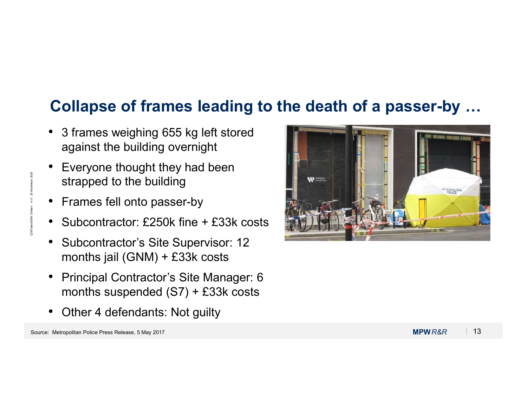### Collapse of frames leading to the death of a passer-by …

- 3 frames weighing 655 kg left stored against the building overnight
- Everyone thought they had been strapped to the building
- Frames fell onto passer-by
- Subcontractor: £250k fine + £33k costs
- Subcontractor's Site Supervisor: 12 months jail (GNM) + £33k costs
- Principal Contractor's Site Manager: 6 months suspended (S7) + £33k costs
- Other 4 defendants: Not guilty

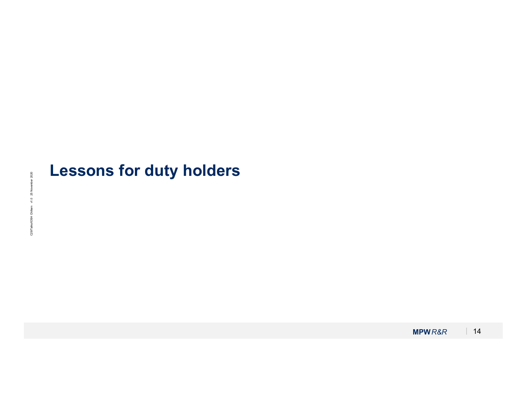# MPWR&R <sup>|</sup> <sup>14</sup> C29/Talks/IOSH Chiltern v1.0 25 November 2020Lessons for duty holders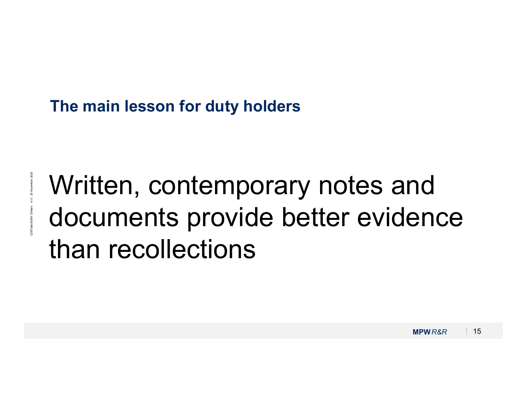#### The main lesson for duty holders

Written, contemporary notes and<br>documents provide better evidence<br>than recollections Written, contemporary notes and documents provide better evidence than recollections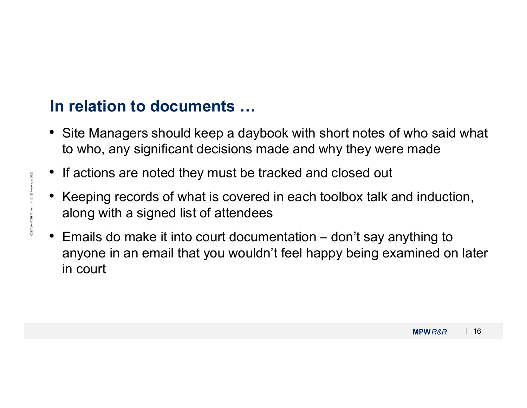### In relation to documents …

- Site Managers should keep a daybook with short notes of who said what to who, any significant decisions made and why they were made
- If actions are noted they must be tracked and closed out
- Keeping records of what is covered in each toolbox talk and induction, along with a signed list of attendees
- It actions are noted they must be tracked and closed out<br>• Keeping records of what is covered in each toolbox talk and induction,<br>along with a signed list of attendees<br>• Emails do make it into court documentation don't • Site Managers should keep a daybook with short notes of who said what<br>• Site Managers should keep a daybook with short notes of who said what<br>• If actions are noted they must be tracked and closed out<br>• Keeping records o anyone in an email that you wouldn't feel happy being examined on later in court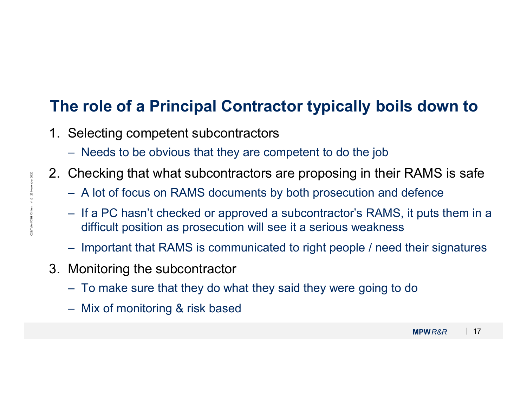### The role of a Principal Contractor typically boils down to The role of a Principal Contractor typically b<br>1. Selecting competent subcontractors<br>- Needs to be obvious that they are competent to do the jo<br>2. Checking that what subcontractors are proposing in th **e role of a Principal Contractor typically boils down to**<br>Selecting competent subcontractors<br>— Needs to be obvious that they are competent to do the job<br>Checking that what subcontractors are proposing in their RAMS is saf **2.** Checking that what subcontractors are proposing in their RAMS is safe  $-$  Needs to be obvious that they are competent to do the job<br>
2. Checking that what subcontractors are proposing in their RAMS is safe<br>  $-$  A lot

- -
- -
- 2. Checking that what subcontractors are proposing in their RANNS is safe  $A$  lot of focus on RAMS documents by both prosecution and defence  $If a PC hasn't checked or approved a subcontractor's RAMS, it puts them in a difficult position as prosecution will see it a serious weakness. \n\nImportant that RAMS is communicated to right people / need their signatures.

\n3. Monitoring the subcontractor

\n To make sure that$ e role of a Principal Contractor typically boils down to<br>Selecting competent subcontractors<br>— Needs to be obvious that they are competent to do the job<br>Checking that what subcontractors are proposing in their RAMS is safe<br> is a period of a Principal Contractor typically boils down to<br>Selecting competent subcontractors<br>— Needs to be obvious that they are competent to do the job<br>Checking that what subcontractors are proposing in their RAMS is difficult position as prosecution will see it a serious weakness **Example 1 Solution Contractor typically boils down to**<br>
Selecting competent subcontractors<br>
— Needs to be obvious that they are competent to do the job<br>
Checking that what subcontractors are proposing in their RAMS is saf **The role of a Principal Contracto**<br>
1. Selecting competent subcontractors<br>  $-$  Needs to be obvious that they are compe<br>
2. Checking that what subcontractors are<br>  $-$  A lot of focus on RAMS documents by be<br>  $-$  If a PC ha Selecting competent subcontractors<br>
- Needs to be obvious that they are competent to do the job<br>
Checking that what subcontractors are proposing in their RAMS is safe<br>
- A lot of focus on RAMS documents by both prosecution – Needs to be obvious that they are compe<br>
Checking that what subcontractors are<br>
– A lot of focus on RAMS documents by bo<br>
– If a PC hasn't checked or approved a sub-<br>
difficult position as prosecution will see it<br>
– Impo
	-
	- -
		-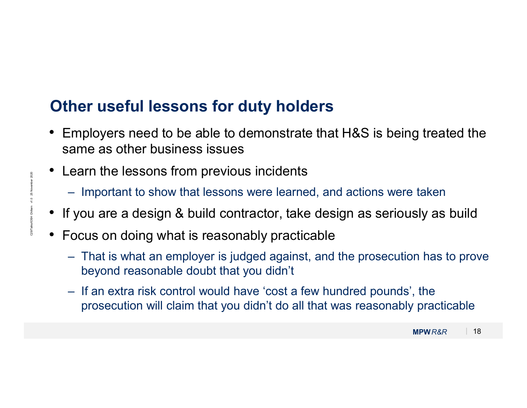### Other useful lessons for duty holders

- Employers need to be able to demonstrate that H&S is being treated the same as other business issues Framployers need to be able to demonstrate that H&S is being treated the arme as other business issues<br>
earn the lessons from previous incidents<br>
— Important to show that lessons were learned, and actions were taken<br>
I you **her useful lessons for duty holders**<br>Employers need to be able to demonstrate that H&S is being treated the<br>ame as other business issues<br>earn the lessons from previous incidents<br>— Important to show that lessons were learn Employers need to be able to demonstrate that H&S is being treated the ame as other business issues<br>
earn the lessons from previous incidents<br>
— Important to show that lessons were learned, and actions were taken<br>
f you a
- Learn the lessons from previous incidents
	-
- If you are a design & build contractor, take design as seriously as build
- Focus on doing what is reasonably practicable
- Important to show that lessons were learned, and actions were taken<br>
 If you are a design & build contractor, take design as seriously as build<br>
 Focus on doing what is reasonably practicable<br>
 That is what an employe beyond reasonable doubt that you didn't
	- prosecution will claim that you didn't do all that was reasonably practicable